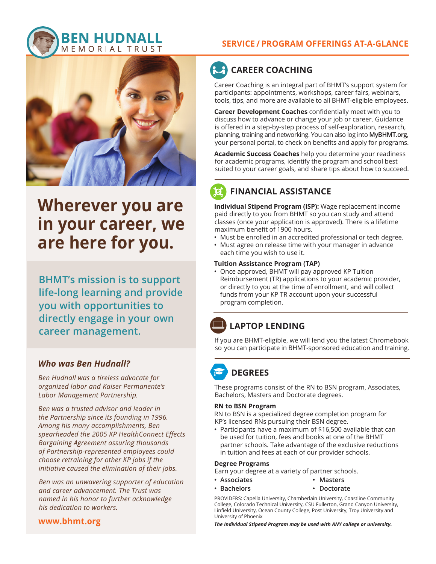

# **Wherever you are in your career, we are here for you.**

**BHMT's mission is to support life-long learning and provide you with opportunities to directly engage in your own career management.**

### *Who was Ben Hudnall?*

*Ben Hudnall was a tireless advocate for organized labor and Kaiser Permanente's Labor Management Partnership.* 

*Ben was a trusted advisor and leader in the Partnership since its founding in 1996. Among his many accomplishments, Ben spearheaded the 2005 KP HealthConnect Effects Bargaining Agreement assuring thousands of Partnership-represented employees could choose retraining for other KP jobs if the initiative caused the elimination of their jobs.* 

*Ben was an unwavering supporter of education and career advancement. The Trust was named in his honor to further acknowledge his dedication to workers.*

### **www.bhmt.org**

### **SERVICE / PROGRAM OFFERINGS AT-A-GLANCE**

# **CAREER COACHING**

Career Coaching is an integral part of BHMT's support system for participants: appointments, workshops, career fairs, webinars, tools, tips, and more are available to all BHMT-eligible employees.

**Career Development Coaches** confidentially meet with you to discuss how to advance or change your job or career. Guidance is offered in a step-by-step process of self-exploration, research, planning, training and networking. You can also log into **MyBHMT.org**, your personal portal, to check on benefits and apply for programs.

**Academic Success Coaches** help you determine your readiness for academic programs, identify the program and school best suited to your career goals, and share tips about how to succeed.

### **FINANCIAL ASSISTANCE**

**Individual Stipend Program (ISP):** Wage replacement income paid directly to you from BHMT so you can study and attend classes (once your application is approved). There is a lifetime maximum benefit of 1900 hours.

- Must be enrolled in an accredited professional or tech degree.
- Must agree on release time with your manager in advance each time you wish to use it.

### **Tuition Assistance Program (TAP)**

**•** Once approved, BHMT will pay approved KP Tuition Reimbursement (TR) applications to your academic provider, or directly to you at the time of enrollment, and will collect funds from your KP TR account upon your successful program completion.

# **LAPTOP LENDING**

If you are BHMT-eligible, we will lend you the latest Chromebook so you can participate in BHMT-sponsored education and training.

# **DEGREES**

These programs consist of the RN to BSN program, Associates, Bachelors, Masters and Doctorate degrees.

#### **RN to BSN Program**

RN to BSN is a specialized degree completion program for KP's licensed RNs pursuing their BSN degree.

**•** Participants have a maximum of \$16,500 available that can be used for tuition, fees and books at one of the BHMT partner schools. Take advantage of the exclusive reductions in tuition and fees at each of our provider schools.

#### **Degree Programs**

Earn your degree at a variety of partner schools.

- **• Associates • Masters**
	- **• Bachelors • Doctorate**

PROVIDERS: Capella University, Chamberlain University, Coastline Community College, Colorado Technical University, CSU Fullerton, Grand Canyon University, Linfield University, Ocean County College, Post University, Troy University and University of Phoenix

*The Individual Stipend Program may be used with ANY college or university.*